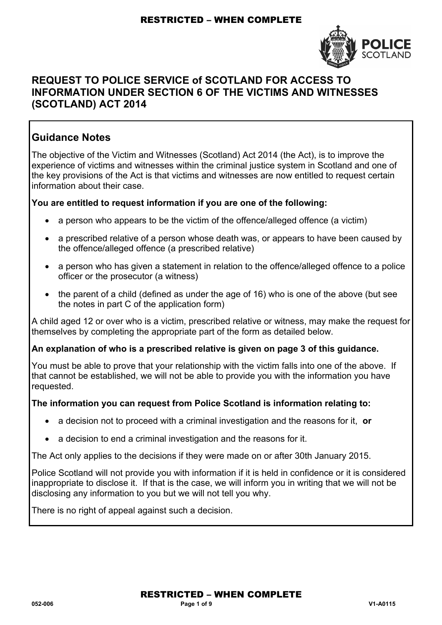

### **REQUEST TO POLICE SERVICE of SCOTLAND FOR ACCESS TO INFORMATION UNDER SECTION 6 OF THE VICTIMS AND WITNESSES (SCOTLAND) ACT 2014**

### **Guidance Notes**

The objective of the Victim and Witnesses (Scotland) Act 2014 (the Act), is to improve the experience of victims and witnesses within the criminal justice system in Scotland and one of the key provisions of the Act is that victims and witnesses are now entitled to request certain information about their case.

### **You are entitled to request information if you are one of the following:**

- a person who appears to be the victim of the offence/alleged offence (a victim)
- a prescribed relative of a person whose death was, or appears to have been caused by the offence/alleged offence (a prescribed relative)
- a person who has given a statement in relation to the offence/alleged offence to a police officer or the prosecutor (a witness)
- the parent of a child (defined as under the age of 16) who is one of the above (but see the notes in part C of the application form)

A child aged 12 or over who is a victim, prescribed relative or witness, may make the request for themselves by completing the appropriate part of the form as detailed below.

#### **An explanation of who is a prescribed relative is given on page 3 of this guidance.**

You must be able to prove that your relationship with the victim falls into one of the above. If that cannot be established, we will not be able to provide you with the information you have requested.

#### **The information you can request from Police Scotland is information relating to:**

- a decision not to proceed with a criminal investigation and the reasons for it, **or**
- a decision to end a criminal investigation and the reasons for it.

The Act only applies to the decisions if they were made on or after 30th January 2015.

Police Scotland will not provide you with information if it is held in confidence or it is considered inappropriate to disclose it. If that is the case, we will inform you in writing that we will not be disclosing any information to you but we will not tell you why.

There is no right of appeal against such a decision.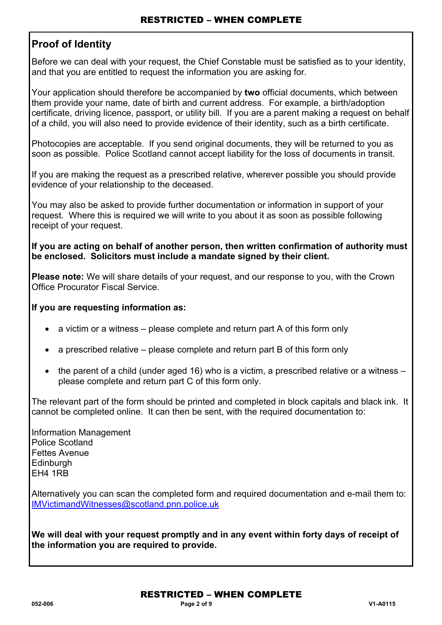### **Proof of Identity**

Before we can deal with your request, the Chief Constable must be satisfied as to your identity, and that you are entitled to request the information you are asking for.

Your application should therefore be accompanied by **two** official documents, which between them provide your name, date of birth and current address. For example, a birth/adoption certificate, driving licence, passport, or utility bill. If you are a parent making a request on behalf of a child, you will also need to provide evidence of their identity, such as a birth certificate.

Photocopies are acceptable. If you send original documents, they will be returned to you as soon as possible. Police Scotland cannot accept liability for the loss of documents in transit.

If you are making the request as a prescribed relative, wherever possible you should provide evidence of your relationship to the deceased.

You may also be asked to provide further documentation or information in support of your request. Where this is required we will write to you about it as soon as possible following receipt of your request.

**If you are acting on behalf of another person, then written confirmation of authority must be enclosed. Solicitors must include a mandate signed by their client.** 

**Please note:** We will share details of your request, and our response to you, with the Crown Office Procurator Fiscal Service.

### **If you are requesting information as:**

- a victim or a witness please complete and return part A of this form only
- a prescribed relative please complete and return part B of this form only
- the parent of a child (under aged 16) who is a victim, a prescribed relative or a witness please complete and return part C of this form only.

The relevant part of the form should be printed and completed in block capitals and black ink. It cannot be completed online. It can then be sent, with the required documentation to:

Information Management Police Scotland Fettes Avenue Edinburgh EH4 1RB

Alternatively you can scan the completed form and required documentation and e-mail them to: [IMVictimandWitnesses@scotland.pnn.police.uk](mailto:IMVictimandWitnesses@scotland.pnn.police.uk) 

**We will deal with your request promptly and in any event within forty days of receipt of the information you are required to provide.**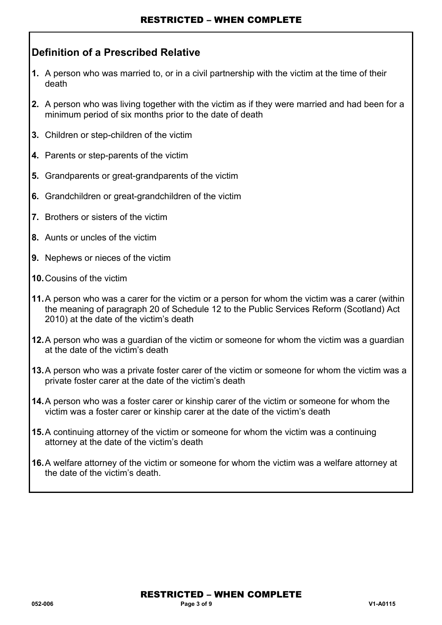## **Definition of a Prescribed Relative**

- **1.** A person who was married to, or in a civil partnership with the victim at the time of their death
- **2.** A person who was living together with the victim as if they were married and had been for a minimum period of six months prior to the date of death
- **3.** Children or step-children of the victim
- **4.** Parents or step-parents of the victim
- **5.** Grandparents or great-grandparents of the victim
- **6.** Grandchildren or great-grandchildren of the victim
- **7.** Brothers or sisters of the victim
- **8.** Aunts or uncles of the victim
- **9.** Nephews or nieces of the victim
- **10.** Cousins of the victim
- **11.** A person who was a carer for the victim or a person for whom the victim was a carer (within the meaning of paragraph 20 of Schedule 12 to the Public Services Reform (Scotland) Act 2010) at the date of the victim's death
- **12.** A person who was a guardian of the victim or someone for whom the victim was a guardian at the date of the victim's death
- **13.** A person who was a private foster carer of the victim or someone for whom the victim was a private foster carer at the date of the victim's death
- **14.** A person who was a foster carer or kinship carer of the victim or someone for whom the victim was a foster carer or kinship carer at the date of the victim's death
- **15.** A continuing attorney of the victim or someone for whom the victim was a continuing attorney at the date of the victim's death
- **16.** A welfare attorney of the victim or someone for whom the victim was a welfare attorney at the date of the victim's death.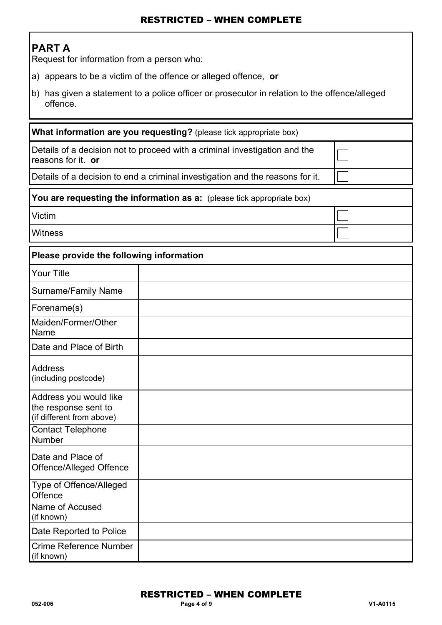# **PART A**

Request for information from a person who:

- a) appears to be a victim of the offence or alleged offence, **or**
- b) has given a statement to a police officer or prosecutor in relation to the offence/alleged offence.

| What information are you requesting? (please tick appropriate box)                               |                                                                        |  |  |  |
|--------------------------------------------------------------------------------------------------|------------------------------------------------------------------------|--|--|--|
| Details of a decision not to proceed with a criminal investigation and the<br>reasons for it. or |                                                                        |  |  |  |
| Details of a decision to end a criminal investigation and the reasons for it.                    |                                                                        |  |  |  |
|                                                                                                  | You are requesting the information as a: (please tick appropriate box) |  |  |  |
| Victim                                                                                           |                                                                        |  |  |  |
| Witness                                                                                          |                                                                        |  |  |  |
| Please provide the following information                                                         |                                                                        |  |  |  |
| <b>Your Title</b>                                                                                |                                                                        |  |  |  |
| <b>Surname/Family Name</b>                                                                       |                                                                        |  |  |  |
| Forename(s)                                                                                      |                                                                        |  |  |  |
| Maiden/Former/Other<br>Name                                                                      |                                                                        |  |  |  |
| Date and Place of Birth                                                                          |                                                                        |  |  |  |
| <b>Address</b><br>(including postcode)                                                           |                                                                        |  |  |  |
| Address you would like<br>the response sent to<br>(if different from above)                      |                                                                        |  |  |  |
| <b>Contact Telephone</b><br>Number                                                               |                                                                        |  |  |  |
| Date and Place of<br>Offence/Alleged Offence                                                     |                                                                        |  |  |  |
| Type of Offence/Alleged<br>Offence                                                               |                                                                        |  |  |  |
| Name of Accused<br>(if known)                                                                    |                                                                        |  |  |  |
| Date Reported to Police                                                                          |                                                                        |  |  |  |
| Crime Reference Number<br>(if known)                                                             |                                                                        |  |  |  |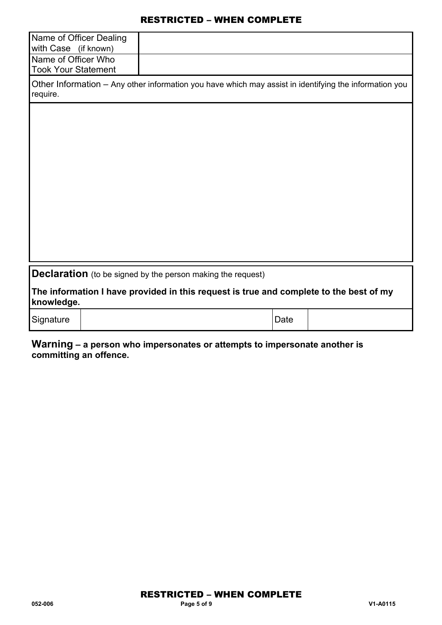| Name of Officer Dealing<br>with Case (if known)                                                                    |  |      |              |  |
|--------------------------------------------------------------------------------------------------------------------|--|------|--------------|--|
| Name of Officer Who<br><b>Took Your Statement</b>                                                                  |  |      |              |  |
| Other Information - Any other information you have which may assist in identifying the information you<br>require. |  |      |              |  |
|                                                                                                                    |  |      |              |  |
|                                                                                                                    |  |      |              |  |
|                                                                                                                    |  |      |              |  |
|                                                                                                                    |  |      |              |  |
|                                                                                                                    |  |      |              |  |
|                                                                                                                    |  |      |              |  |
|                                                                                                                    |  |      |              |  |
| <b>Declaration</b> (to be signed by the person making the request)                                                 |  |      |              |  |
| The information I have provided in this request is true and complete to the best of my<br>knowledge.               |  |      |              |  |
| Signature                                                                                                          |  | Date |              |  |
| 18/arnina                                                                                                          |  |      | منعمطه ممعمد |  |

**Warning – a person who impersonates or attempts to impersonate another is committing an offence.**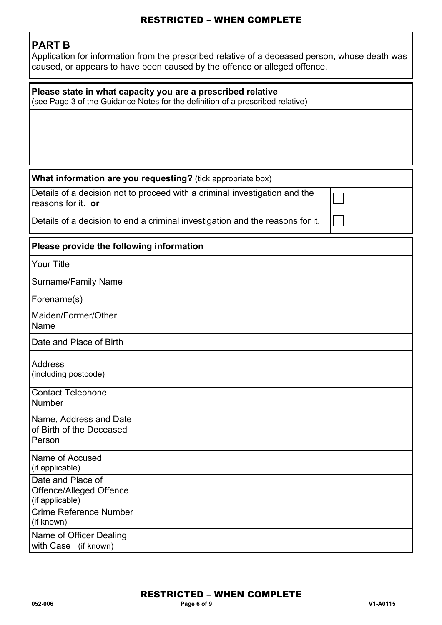# **PART B**

Application for information from the prescribed relative of a deceased person, whose death was caused, or appears to have been caused by the offence or alleged offence.

| Please state in what capacity you are a prescribed relative<br>(see Page 3 of the Guidance Notes for the definition of a prescribed relative) |                                                                               |  |  |  |
|-----------------------------------------------------------------------------------------------------------------------------------------------|-------------------------------------------------------------------------------|--|--|--|
|                                                                                                                                               |                                                                               |  |  |  |
|                                                                                                                                               |                                                                               |  |  |  |
|                                                                                                                                               | What information are you requesting? (tick appropriate box)                   |  |  |  |
| reasons for it. or                                                                                                                            | Details of a decision not to proceed with a criminal investigation and the    |  |  |  |
|                                                                                                                                               | Details of a decision to end a criminal investigation and the reasons for it. |  |  |  |
| Please provide the following information                                                                                                      |                                                                               |  |  |  |
| <b>Your Title</b>                                                                                                                             |                                                                               |  |  |  |
| <b>Surname/Family Name</b>                                                                                                                    |                                                                               |  |  |  |
| Forename(s)                                                                                                                                   |                                                                               |  |  |  |
| Maiden/Former/Other<br>Name                                                                                                                   |                                                                               |  |  |  |
| Date and Place of Birth                                                                                                                       |                                                                               |  |  |  |
| <b>Address</b><br>(including postcode)                                                                                                        |                                                                               |  |  |  |
| <b>Contact Telephone</b><br>Number                                                                                                            |                                                                               |  |  |  |
| Name, Address and Date<br>of Birth of the Deceased<br>Person                                                                                  |                                                                               |  |  |  |
| Name of Accused<br>(if applicable)                                                                                                            |                                                                               |  |  |  |
| Date and Place of<br>Offence/Alleged Offence<br>(if applicable)                                                                               |                                                                               |  |  |  |
| Crime Reference Number<br>(if known)                                                                                                          |                                                                               |  |  |  |
| Name of Officer Dealing<br>with Case (if known)                                                                                               |                                                                               |  |  |  |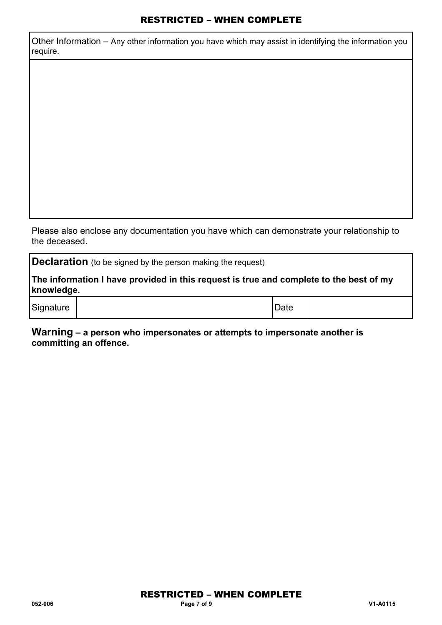Other Information – Any other information you have which may assist in identifying the information you require.

Please also enclose any documentation you have which can demonstrate your relationship to the deceased.

**Declaration** (to be signed by the person making the request)

**The information I have provided in this request is true and complete to the best of my knowledge.** 

Signature | New York 1999 | Date | Date | Date | Date | Date | Date | Date | Date | Date | Date | Date | Date | Date | Date | Date | Date | Date | Date | Date | Date | Date | Date | Date | Date | Date | Date | Date | Date

**Warning – a person who impersonates or attempts to impersonate another is committing an offence.**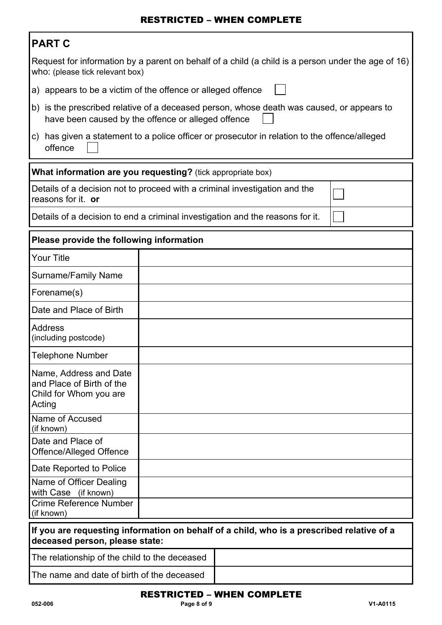| PART |  |
|------|--|
|      |  |

|                                                                                                                                       | ט ורחות                                                                                                                                         |  |  |  |  |
|---------------------------------------------------------------------------------------------------------------------------------------|-------------------------------------------------------------------------------------------------------------------------------------------------|--|--|--|--|
| Request for information by a parent on behalf of a child (a child is a person under the age of 16)<br>who: (please tick relevant box) |                                                                                                                                                 |  |  |  |  |
|                                                                                                                                       | a) appears to be a victim of the offence or alleged offence                                                                                     |  |  |  |  |
|                                                                                                                                       | b) is the prescribed relative of a deceased person, whose death was caused, or appears to<br>have been caused by the offence or alleged offence |  |  |  |  |
| has given a statement to a police officer or prosecutor in relation to the offence/alleged<br>C)<br>offence                           |                                                                                                                                                 |  |  |  |  |
| What information are you requesting? (tick appropriate box)                                                                           |                                                                                                                                                 |  |  |  |  |
| reasons for it. or                                                                                                                    | Details of a decision not to proceed with a criminal investigation and the                                                                      |  |  |  |  |
|                                                                                                                                       | Details of a decision to end a criminal investigation and the reasons for it.                                                                   |  |  |  |  |
| Please provide the following information                                                                                              |                                                                                                                                                 |  |  |  |  |
| <b>Your Title</b>                                                                                                                     |                                                                                                                                                 |  |  |  |  |
| <b>Surname/Family Name</b>                                                                                                            |                                                                                                                                                 |  |  |  |  |
| Forename(s)                                                                                                                           |                                                                                                                                                 |  |  |  |  |
| Date and Place of Birth                                                                                                               |                                                                                                                                                 |  |  |  |  |
| <b>Address</b><br>(including postcode)                                                                                                |                                                                                                                                                 |  |  |  |  |
| <b>Telephone Number</b>                                                                                                               |                                                                                                                                                 |  |  |  |  |
| Name, Address and Date<br>and Place of Birth of the<br>Child for Whom you are<br>Acting                                               |                                                                                                                                                 |  |  |  |  |
| Name of Accused<br>(if known)                                                                                                         |                                                                                                                                                 |  |  |  |  |
| Date and Place of<br>Offence/Alleged Offence                                                                                          |                                                                                                                                                 |  |  |  |  |
| Date Reported to Police                                                                                                               |                                                                                                                                                 |  |  |  |  |
| Name of Officer Dealing<br>with Case (if known)                                                                                       |                                                                                                                                                 |  |  |  |  |
| Crime Reference Number<br>(if known)                                                                                                  |                                                                                                                                                 |  |  |  |  |
| If you are requesting information on behalf of a child, who is a prescribed relative of a<br>deceased person, please state:           |                                                                                                                                                 |  |  |  |  |
| The relationship of the child to the deceased                                                                                         |                                                                                                                                                 |  |  |  |  |
| The name and date of birth of the deceased                                                                                            |                                                                                                                                                 |  |  |  |  |